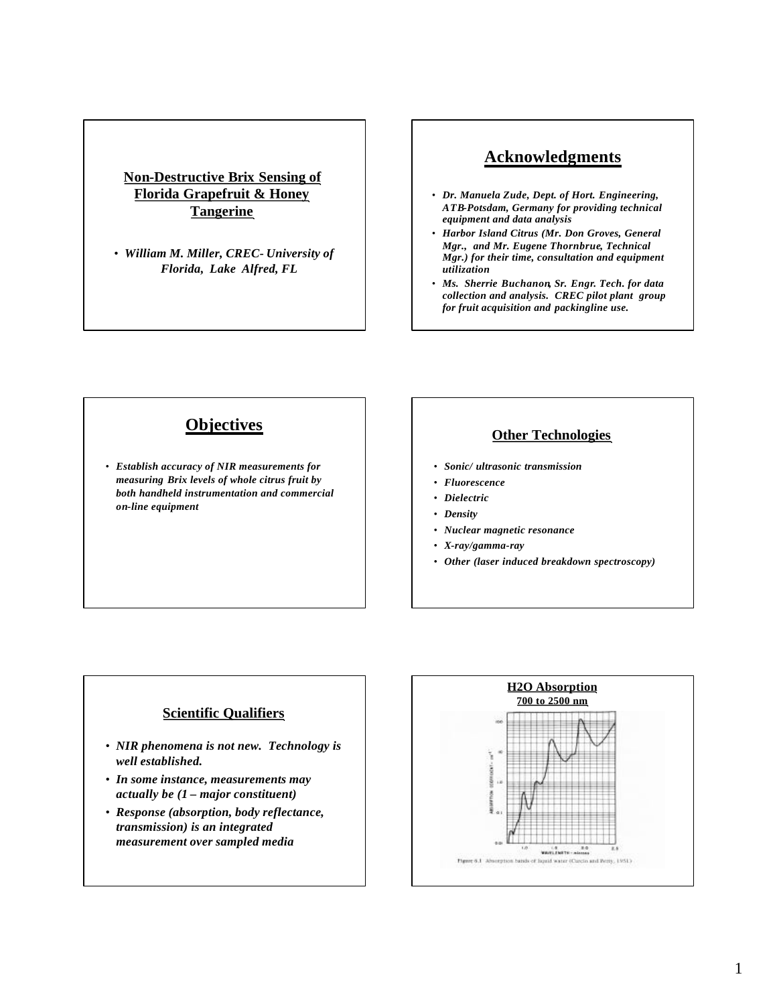## **Non-Destructive Brix Sensing of Florida Grapefruit & Honey Tangerine**

• *William M. Miller, CREC- University of Florida, Lake Alfred, FL*

# **Acknowledgments**

- *Dr. Manuela Zude, Dept. of Hort. Engineering, ATB-Potsdam, Germany for providing technical equipment and data analysis*
- *Harbor Island Citrus (Mr. Don Groves, General Mgr., and Mr. Eugene Thornbrue, Technical Mgr.) for their time, consultation and equipment utilization*
- *Ms. Sherrie Buchanon, Sr. Engr. Tech. for data collection and analysis. CREC pilot plant group for fruit acquisition and packingline use.*

# **Objectives**

• *Establish accuracy of NIR measurements for measuring Brix levels of whole citrus fruit by both handheld instrumentation and commercial on-line equipment*

### **Other Technologies**

- *Sonic/ ultrasonic transmission*
- *Fluorescence*
- *Dielectric*
- *Density*
- *Nuclear magnetic resonance*
- *X-ray/gamma-ray*
- *Other (laser induced breakdown spectroscopy)*

### **Scientific Qualifiers**

- *NIR phenomena is not new. Technology is well established.*
- *In some instance, measurements may actually be (1 – major constituent)*
- *Response (absorption, body reflectance, transmission) is an integrated measurement over sampled media*

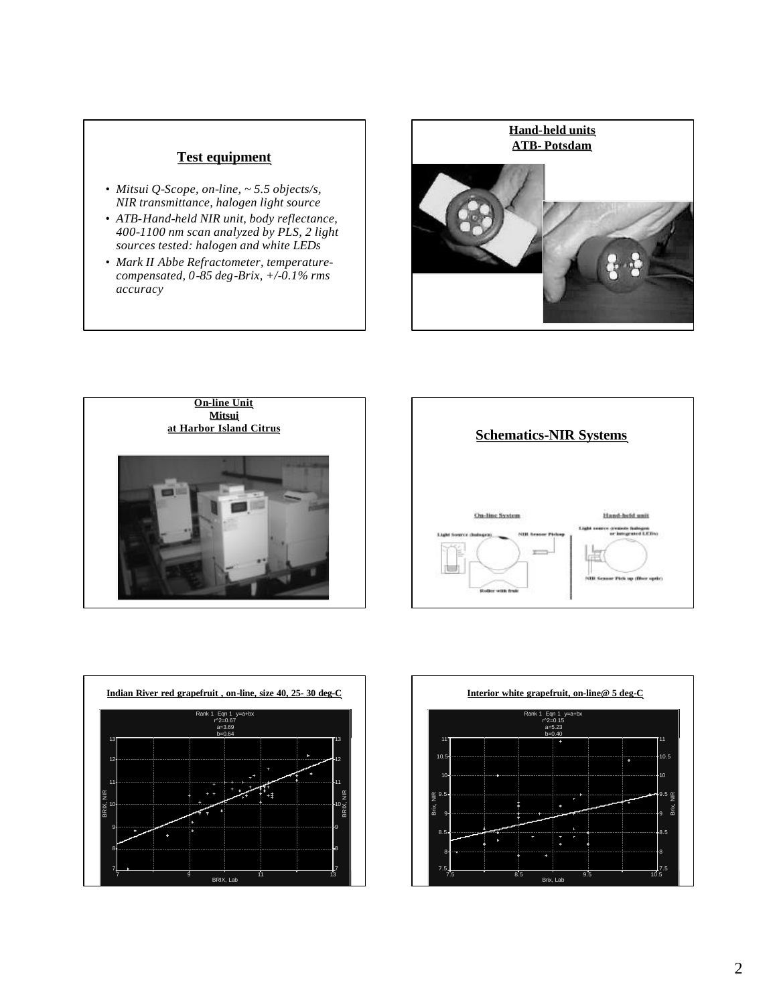## **Test equipment**

- *Mitsui Q-Scope, on-line, ~ 5.5 objects/s, NIR transmittance, halogen light source*
- *ATB-Hand-held NIR unit, body reflectance, 400-1100 nm scan analyzed by PLS, 2 light sources tested: halogen and white LEDs*
- *Mark II Abbe Refractometer, temperaturecompensated, 0-85 deg-Brix, +/-0.1% rms accuracy*









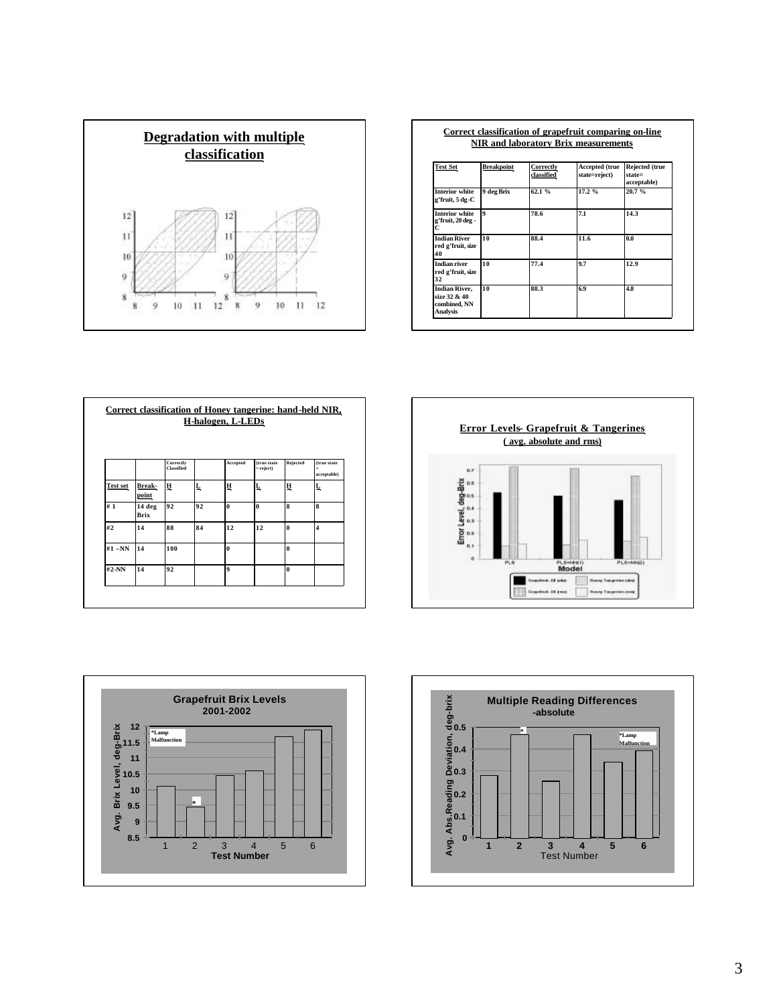

#### **Correct classification of grapefruit comparing on-line NIR and laboratory Brix measurements**

| <b>Test Set</b>                                                         | <b>Breakpoint</b> | Correctly<br>classified | Accepted (true<br>state=reject) | Rejected (true<br>$state =$<br>acceptable) |  |
|-------------------------------------------------------------------------|-------------------|-------------------------|---------------------------------|--------------------------------------------|--|
| <b>Interior white</b><br>g'fruit, 5 dg -C                               | 9 deg Brix        | 62.1%                   | 17.2%                           | 20.7%                                      |  |
| <b>Interior white</b><br>g'fruit, 20 deg -<br>C                         | $\mathbf{o}$      | 78.6                    | 7.1                             | 14.3                                       |  |
| <b>Indian River</b><br>red g'fruit, size<br>40                          | 10                | 88.4                    | 11.6                            | 0.0                                        |  |
| <b>Indian river</b><br>red g'fruit, size<br>32                          | 10                | 77.4                    | 9.7                             | 12.9                                       |  |
| <b>Indian River,</b><br>size 32 & 40<br>combined, NN<br><b>Analysis</b> | 10                | 88.3                    | 6.9                             | 4.8                                        |  |

|                 |                       | <b>Correctly</b><br>Classified |    | Accepted         | (true state<br>$=$ reject) | <b>Rejected</b> | (true state<br>$=$<br>acceptable) |
|-----------------|-----------------------|--------------------------------|----|------------------|----------------------------|-----------------|-----------------------------------|
| <b>Test set</b> | Break-<br>point       | Ħ                              | Ļ  | ц                | Ļ                          | ц               | Ļ                                 |
| #1              | 14 deg<br><b>Brix</b> | 92                             | 92 | $\theta$         | $\theta$                   | 8               | 8                                 |
| #2              | 14                    | 88                             | 84 | 12               | 12                         | $\bf{0}$        | $\overline{\mathbf{4}}$           |
| $#1 - NN$       | 14                    | 100                            |    | $\bf{0}$         |                            | $\bf{0}$        |                                   |
| #2-NN           | 14                    | 92                             |    | $\boldsymbol{9}$ |                            | $\mathbf{0}$    |                                   |